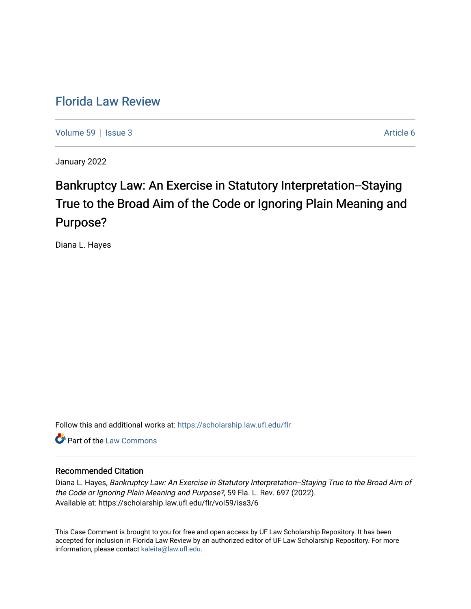## [Florida Law Review](https://scholarship.law.ufl.edu/flr)

[Volume 59](https://scholarship.law.ufl.edu/flr/vol59) | [Issue 3](https://scholarship.law.ufl.edu/flr/vol59/iss3) Article 6

January 2022

# Bankruptcy Law: An Exercise in Statutory Interpretation--Staying True to the Broad Aim of the Code or Ignoring Plain Meaning and Purpose?

Diana L. Hayes

Follow this and additional works at: [https://scholarship.law.ufl.edu/flr](https://scholarship.law.ufl.edu/flr?utm_source=scholarship.law.ufl.edu%2Fflr%2Fvol59%2Fiss3%2F6&utm_medium=PDF&utm_campaign=PDFCoverPages)

**C** Part of the [Law Commons](http://network.bepress.com/hgg/discipline/578?utm_source=scholarship.law.ufl.edu%2Fflr%2Fvol59%2Fiss3%2F6&utm_medium=PDF&utm_campaign=PDFCoverPages)

### Recommended Citation

Diana L. Hayes, Bankruptcy Law: An Exercise in Statutory Interpretation--Staying True to the Broad Aim of the Code or Ignoring Plain Meaning and Purpose?, 59 Fla. L. Rev. 697 (2022). Available at: https://scholarship.law.ufl.edu/flr/vol59/iss3/6

This Case Comment is brought to you for free and open access by UF Law Scholarship Repository. It has been accepted for inclusion in Florida Law Review by an authorized editor of UF Law Scholarship Repository. For more information, please contact [kaleita@law.ufl.edu.](mailto:kaleita@law.ufl.edu)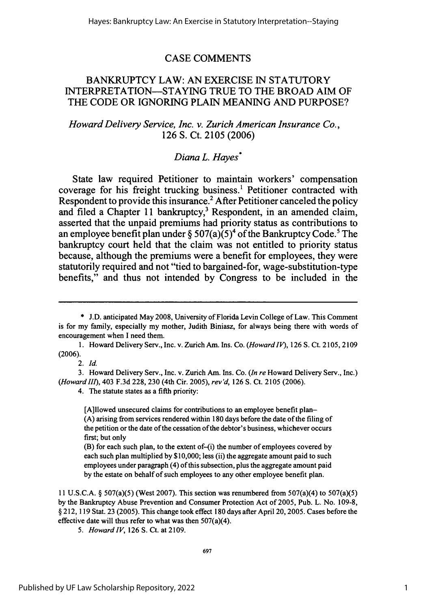### CASE COMMENTS

### BANKRUPTCY LAW: **AN** EXERCISE IN STATUTORY INTERPRETATION—STAYING TRUE TO THE BROAD AIM OF THE CODE OR IGNORING PLAIN MEANING AND PURPOSE?

### *Howard Delivery Service, Inc. v. Zurich American Insurance Co.,* 126 **S.** Ct. 2105 (2006)

### *Diana L. Hayes\**

State law required Petitioner to maintain workers' compensation coverage for his freight trucking business.<sup>1</sup> Petitioner contracted with Respondent to provide this insurance.<sup>2</sup> After Petitioner canceled the policy and filed a Chapter 11 bankruptcy,<sup>3</sup> Respondent, in an amended claim, asserted that the unpaid premiums had priority status as contributions to an employee benefit plan under  $\S 507(a)(5)^4$  of the Bankruptcy Code.<sup>5</sup> The bankruptcy court held that the claim was not entitled to priority status because, although the premiums were a benefit for employees, they were statutorily required and not "tied to bargained-for, wage-substitution-type benefits," and thus not intended **by** Congress to be included in the

*2. Id.*

3. Howard Delivery Serv., Inc. v. Zurich Am. Ins. Co. *(In re* Howard Delivery Serv., Inc.) *(Howardll),* 403 F.3d 228, 230 (4th Cir. 2005), *rev'd,* 126 S. Ct. 2105 (2006).

4. The statute states as a fifth priority:

[A]llowed unsecured claims for contributions to an employee benefit plan- **(A)** arising from services rendered within **180** days before the date of the filing of the petition or the date of the cessation of the debtor's business, whichever occurs first; but only

(B) for each such plan, to the extent of-(i) the number of employees covered by each such plan multiplied **by \$10,000;** less (ii) the aggregate amount paid to such employees under paragraph (4) of this subsection, plus the aggregate amount paid **by** the estate on behalf of such employees to any other employee benefit plan.

**11 U.S.C.A.** § 507(a)(5) (West **2007).** This section was renumbered from 507(a)(4) to 507(a)(5) **by** the Bankruptcy Abuse Prevention and Consumer Protection Act of **2005,** Pub. L. No. **109-8,** § 212, **119** Stat. **23 (2005).** This change took effect **180** days after April 20, **2005.** Cases before the effective date will thus refer to what was then 507(a)(4).

*5. Howard IV,* **126 S.** Ct. at **2109.**

**<sup>\*</sup>** J.D. anticipated May 2008, University of Florida Levin College of Law. This Comment is for my family, especially my mother, Judith Biniasz, for always being there with words of encouragement when I need them.

<sup>1.</sup> Howard Delivery Serv., Inc. v. Zurich Am. Ins. Co. *(HowardlV),* 126 S. Ct. 2105, 2109 (2006).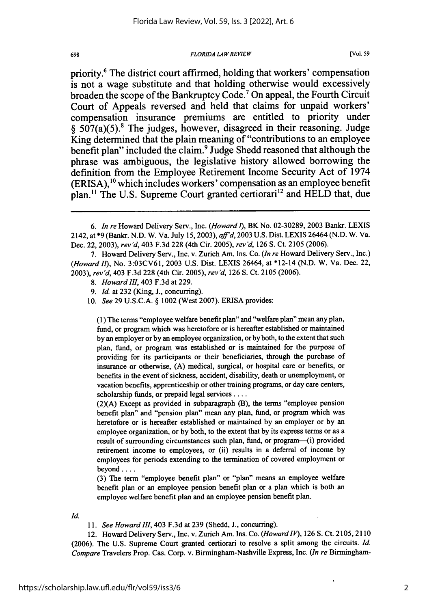#### *FLORIDA LAWREVIEW*

priority.6 The district court affirmed, holding that workers' compensation is not a wage substitute and that holding otherwise would excessively broaden the scope of the Bankruptcy Code.7 On appeal, the Fourth Circuit Court of Appeals reversed and held that claims for unpaid workers' compensation insurance premiums are entitled to priority under **§** 507(a)(5).8 The judges, however, disagreed in their reasoning. Judge King determined that the plain meaning of "contributions to an employee benefit plan" included the claim. 9 Judge Shedd reasoned that although the phrase was ambiguous, the legislative history allowed borrowing the definition from the Employee Retirement Income Security Act of 1974 (ERISA),<sup>10</sup> which includes workers' compensation as an employee benefit plan.<sup>11</sup> The U.S. Supreme Court granted certiorari<sup>12</sup> and HELD that, due

- *8. Howard III,* 403 F.3d at 229.
- 9. *Id.* at 232 (King, J., concurring).
- 10. *See* 29 U.S.C.A. § 1002 (West 2007). ERISA provides:

(1) The terms "employee welfare benefit plan" and "welfare plan" mean any plan, fund, or program which was heretofore or is hereafter established or maintained by an employer or by an employee organization, or by both, to the extent that such plan, fund, or program was established or is maintained for the purpose of providing for its participants or their beneficiaries, through the purchase of insurance or otherwise, (A) medical, surgical, or hospital care or benefits, or benefits in the event of sickness, accident, disability, death or unemployment, or vacation benefits, apprenticeship or other training programs, or day care centers, scholarship funds, or prepaid legal services ....

(2)(A) Except as provided in subparagraph (B), the terms "employee pension benefit plan" and "pension plan" mean any plan, fund, or program which was heretofore or is hereafter established or maintained by an employer or by an employee organization, or by both, to the extent that by its express terms or as a result of surrounding circumstances such plan, fund, or program--(i) provided retirement income to employees, or (ii) results in a deferral of income by employees for periods extending to the termination of covered employment or beyond ....

(3) The term "employee benefit plan" or "plan" means an employee welfare benefit plan or an employee pension benefit plan or a plan which is both an employee welfare benefit plan and an employee pension benefit plan.

*Id.*

698

*11. See Howard II,* 403 F.3d at 239 (Shedd, J., concurring).

12. Howard Delivery Serv., Inc. v. Zurich Am. Ins. Co. *(Howard IV),* 126 S. Ct. 2105, **2110** (2006). The U.S. Supreme Court granted certiorari to resolve a split among the circuits. *Id. Compare* Travelers Prop. Cas. Corp. v. Birmingham-Nashville Express, Inc. *(In re* Birmingham-

2

*<sup>6.</sup> In re* Howard Delivery Serv., Inc. *(Howardl),* BK No. 02-30289, 2003 Bankr. LEXIS 2142, at \*9 (Bankr. N.D. W. Va. July 15,2003), *af'd,* 2003 U.S. Dist. LEXIS 26464 (N.D. W. Va. Dec. 22, 2003), *rev'd,* 403 F.3d 228 (4th Cir. 2005), *rev'd,* 126 S. Ct. 2105 (2006).

<sup>7.</sup> Howard Delivery Serv., Inc. v. Zurich Am. Ins. Co. *(In re* Howard Delivery Serv., Inc.) *(Howard fl),* No. 3:03CV61, 2003 U.S. Dist. LEXIS 26464, at \*12-14 (N.D. W. Va. Dec. 22, 2003), *rev'd,* 403 F.3d 228 (4th Cir. 2005), *rev'd,* 126 **S.** Ct. 2105 (2006).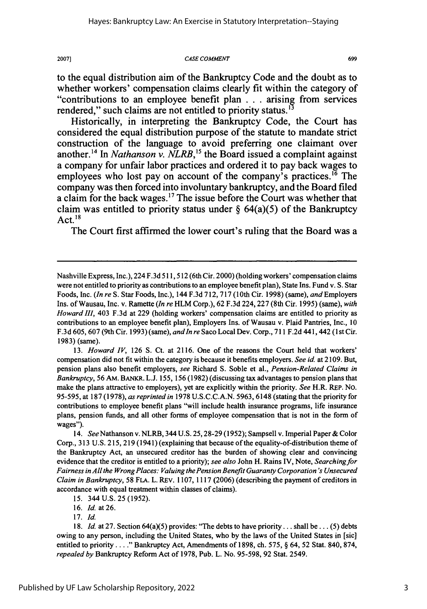*CASE COMMENT*

699

to the equal distribution aim of the Bankruptcy Code and the doubt as to whether workers' compensation claims clearly fit within the category of "contributions to an employee benefit plan **. . .** arising from services rendered," such claims are not entitled to priority status.<sup>13</sup>

Historically, in interpreting the Bankruptcy Code, the Court has considered the equal distribution purpose of the statute to mandate strict construction of the language to avoid preferring one claimant over another.<sup>14</sup> In *Nathanson v. NLRB*,<sup>15</sup> the Board issued a complaint against a company for unfair labor practices and ordered it to pay back wages to employees who lost pay on account of the company's practices.<sup>16</sup> The company was then forced into involuntary bankruptcy, and the Board filed a claim for the back wages.<sup>17</sup> The issue before the Court was whether that claim was entitled to priority status under **§** 64(a)(5) of the Bankruptcy Act. $18$ 

The Court first affirmed the lower court's ruling that the Board was a

13. *Howard IV,* 126 **S.** Ct. at 2116. One of the reasons the Court held that workers' compensation did not fit within the category is because it benefits employers. *See id.* at 2109. But, pension plans also benefit employers, *see* Richard S. Soble et al., *Pension-Related Claims in Bankruptcy,* 56 AM. BANKR. L.J. 155, 156 (1982) (discussing tax advantages to pension plans that make the plans attractive to employers), yet are explicitly within the priority. *See* H.R. REP. No. 95-595, at 187 (1978), *as reprinted in* 1978 U.S.C.C.A.N. 5963, 6148 (stating that the priority for contributions to employee benefit plans "will include health insurance programs, life insurance plans, pension funds, and all other forms of employee compensation that is not in the form of wages").

*14. See* Nathanson v. NLRB, 344 **U.S. 25,28-29 (1952);** Sampsell v. Imperial Paper **&** Color Corp., **313 U.S. 215, 219** (1941) (explaining that because of the equality-of-distribution theme of the Bankruptcy Act, an unsecured creditor has the burden of showing clear and convincing evidence that the creditor is entitled to a priority); *see also* John H. Rains IV, Note, *Searching for Fairness in All the Wrong Places: Valuing the Pension Benefit Guaranty Corporation's Unsecured Claim in Bankruptcy,* **58 FLA.** L. REv. **1107, 1117 (2006)** (describing the payment of creditors in accordance with equal treatment within classes of claims).

Nashville Express, Inc.), 224 F.3d 511,512 (6th Cir. 2000) (holding workers' compensation claims were not entitled to priority as contributions to an employee benefit plan), State Ins. Fund v. S. Star Foods, Inc. *(In re* S. Star Foods, Inc.), 144 F.3d 712, 717 (10th Cir. 1998) (same), and Employers Ins. of Wausau, Inc. v. Ramette *(In re* HLM Corp.), 62 F.3d 224,227 (8th Cir. 1995) (same), *with Howard I1,* 403 F.3d at 229 (holding workers' compensation claims are entitled to priority as contributions to an employee benefit plan), Employers Ins. of Wausau v. Plaid Pantries, Inc., 10 F.3d 605, 607 (9th Cir. 1993) (same), *andIn re* Saco Local Dev. Corp., 711 F.2d 441,442 (1 st Cir. 1983) (same).

**<sup>15.</sup>** 344 **U.S. 25 (1952).**

**<sup>16.</sup>** *Id.* at26.

**<sup>17.</sup> Id.**

**<sup>18.</sup>** *Id.* at **27.** Section 64(a)(5) provides: "The debts to have priority... shall be... **(5)** debts owing to any person, including the United States, who **by** the laws of the United States in [sic] entitled to priority **... "** Bankruptcy Act, Amendments of **1898,** ch. 575, § 64, 52 Stat. 840, 874, *repealed by* Bankruptcy Reform Act of 1978, Pub. L. No. 95-598, 92 Stat. 2549.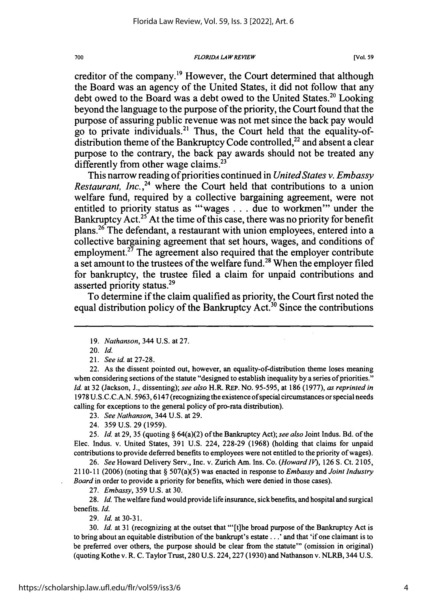*FLORIDA LAWREVIEW*

creditor of the company.<sup>19</sup> However, the Court determined that although the Board was an agency of the United States, it did not follow that any debt owed to the Board was a debt owed to the United States.<sup>20</sup> Looking beyond the language to the purpose of the priority, the Court found that the purpose of assuring public revenue was not met since the back pay would go to private individuals.<sup>21</sup> Thus, the Court held that the equality-ofdistribution theme of the Bankruptcy Code controlled,<sup>22</sup> and absent a clear purpose to the contrary, the back pay awards should not be treated any differently from other wage claims.<sup>23</sup>

This narrow reading of priorities continued in *United States v. Embassy Restaurant, Inc.*<sup>24</sup> where the Court held that contributions to a union welfare fund, required **by** a collective bargaining agreement, were not entitled to priority status as "'wages . . . due to workmen'" under the Bankruptcy Act.<sup>25</sup> At the time of this case, there was no priority for benefit plans.<sup>26</sup> The defendant, a restaurant with union employees, entered into a collective bargaining agreement that set hours, wages, and conditions of employment.<sup>27</sup> The agreement also required that the employer contribute a set amount to the trustees of the welfare fund.<sup>28</sup> When the employer filed for bankruptcy, the trustee filed a claim for unpaid contributions and asserted priority status.<sup>29</sup>

To determine if the claim qualified as priority, the Court first noted the equal distribution policy of the Bankruptcy Act.<sup>30</sup> Since the contributions

22. As the dissent pointed out, however, an equality-of-distribution theme loses meaning when considering sections of the statute "designed to establish inequality **by** a series of priorities." *Id.* at 32 (Jackson, J., dissenting); *see also* H.R. REP. No. 95-595, at 186 (1977), *as reprinted in* 1978 U.S.C.C.A.N. 5963, 6147 (recognizing the existence of special circumstances or special needs calling for exceptions to the general policy of pro-rata distribution).

23. *See Nathanson,* 344 U.S. at 29.

24. 359 U.S. 29 (1959).

*25. Id.* at 29, 35 (quoting § 64(a)(2) of the Bankruptcy Act); *see also* Joint Indus. Bd. of the Elec. Indus. v. United States, 391 U.S. 224, 228-29 (1968) (holding that claims for unpaid contributions to provide deferred benefits to employees were not entitled to the priority of wages).

26. *See* Howard Delivery Serv., Inc. v. Zurich Am. Ins. Co. *(Howard IV),* 126 S. Ct. 2105, 2110-11 (2006) (noting that § 507(a)(5) was enacted in response to *Embassy and Joint Industry Board* in order to provide a priority for benefits, which were denied in those cases).

27. *Embassy,* 359 U.S. at 30.

28. *Id.* The welfare fund would provide life insurance, sick benefits, and hospital and surgical benefits. *Id.*

29. *Id.* at 30-31.

30. *Id.* at 31 (recognizing at the outset that "'[t]he broad purpose of the Bankruptcy Act is to bring about an equitable distribution of the bankrupt's **estate...'** and that 'if one claimant is to be preferred over others, the purpose should be clear from the statute"' (omission in original) (quoting Kothe v. R. C. Taylor Trust, 280 U.S. 224,227 (1930) and Nathanson v. NLRB, 344 U.S.

<sup>19.</sup> *Nathanson,* 344 U.S. at 27.

<sup>20.</sup> Id.

<sup>21.</sup> *See id.* at 27-28.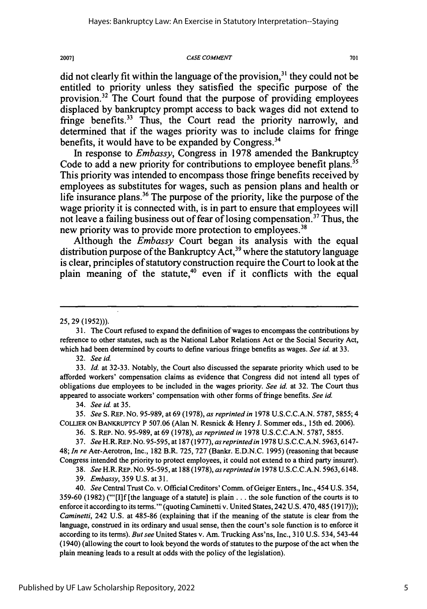#### *CASE COMMENT*

did not clearly fit within the language of the provision,  $3<sup>1</sup>$  they could not be entitled to priority unless they satisfied the specific purpose of the provision.<sup>32</sup> The Court found that the purpose of providing employees displaced **by** bankruptcy prompt access to back wages did not extend to fringe benefits.<sup>33</sup> Thus, the Court read the priority narrowly, and determined that if the wages priority was to include claims for fringe benefits, it would have to be expanded **by** Congress.34

In response to *Embassy,* Congress in **1978** amended the Bankruptcy Code to add a new priority for contributions to employee benefit plans.<sup>35</sup> This priority was intended to encompass those fringe benefits received **by** employees as substitutes for wages, such as pension plans and health or life insurance plans.<sup>36</sup> The purpose of the priority, like the purpose of the wage priority it is connected with, is in part to ensure that employees will not leave a failing business out of fear of losing compensation.<sup>37</sup> Thus, the new priority was to provide more protection to employees.<sup>38</sup>

Although the *Embassy* Court began its analysis with the equal distribution purpose of the Bankruptcy Act,<sup>39</sup> where the statutory language is clear, principles of statutory construction require the Court to look at the plain meaning of the statute,<sup>40</sup> even if it conflicts with the equal

32. *See id.*

34. *See id.* at 35.

35. *See* S. REP. No. 95-989, at 69 (1978), *as reprinted in* 1978 U.S.C.C.A.N. 5787, 5855; 4 **COLIER** ON BANKRUPTCY P 507.06 (Alan *N.* Resnick & Henry J. Sommer eds., 15th ed. 2006).

36. **S.** REP. No. 95-989, at 69 (1978), *as reprinted in* 1978 U.S.C.C.A.N. 5787, 5855.

37. *SeeH.R.* REP.NO. 95-595, at 187 (1977), *as reprinted in* 1978 U.S.C.C.A.N. 5963,6147- 48; *In re* Aer-Aerotron, Inc., 182 B.R. 725, 727 (Bankr. E.D.N.C. 1995) (reasoning that because Congress intended the priority to protect employees, it could not extend to a third party insurer).

*38. See* H.R. REP. No. 95-595, at 188 (1978), *as reprinted in* 1978 U.S.C.C.A.N. 5963,6148.

39. *Embassy,* 359 U.S. at 31.

40. *See* Central Trust Co. v. Official Creditors' Comm. of Geiger Enters., Inc., 454 U.S. 354, 359-60 (1982) (."[I]f [the language of a statute] is plain **...** the sole function of the courts is to enforce it according to its terms."' (quoting Caminetti v. United States, 242 U.S. 470,485 (1917))); *Caminetti,* 242 U.S. at 485-86 (explaining that if the meaning of the statute is clear from the language, construed in its ordinary and usual sense, then the court's sole function is to enforce it according to its terms). *But see* United States v. Am. Trucking Ass'ns, Inc., 310 U.S. 534, 543-44 (1940) (allowing the court to look beyond the words of statutes to the purpose of the act when the plain meaning leads to a result at odds with the policy of the legislation).

701

<sup>25, 29 (1952))).</sup>

**<sup>31.</sup>** The Court refused to expand the definition of wages to encompass the contributions **by** reference to other statutes, such as the National Labor Relations Act or the Social Security Act, which had been determined by courts to define various fringe benefits as wages. *See id* at 33.

**<sup>33.</sup>** *Id.* at **32-33.** Notably, the Court also discussed the separate priority which used to be afforded workers' compensation claims as evidence that Congress did not intend all types of obligations due employees to be included in the wages priority. *See id.* at 32. The Court thus appeared to associate workers' compensation with other forms of fringe benefits. *See id.*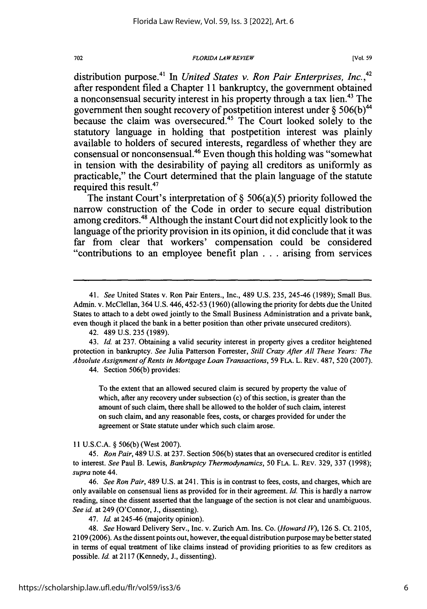#### *FLORIDA LAW REVIEW*

distribution purpose.41 In *United States v. Ron Pair Enterprises, Inc.,42* after respondent filed a Chapter **11** bankruptcy, the government obtained a nonconsensual security interest in his property through a tax lien.<sup>43</sup> The government then sought recovery of postpetition interest under **§ 506(b)<sup>44</sup>** because the claim was oversecured.<sup>45</sup> The Court looked solely to the statutory language in holding that postpetition interest was plainly available to holders of secured interests, regardless of whether they are consensual or nonconsensual.46 Even though this holding was "somewhat in tension with the desirability of paying all creditors as uniformly as practicable," the Court determined that the plain language of the statute required this result.<sup>47</sup>

The instant Court's interpretation of **§** 506(a)(5) priority followed the narrow construction of the Code in order to secure equal distribution among creditors.<sup>48</sup> Although the instant Court did not explicitly look to the language of the priority provision in its opinion, it did conclude that it was far from clear that workers' compensation could be considered "contributions to an employee benefit plan **...**arising from services

44. Section 506(b) provides:

To the extent that an allowed secured claim is secured by property the value of which, after any recovery under subsection (c) of this section, is greater than the amount of such claim, there shall be allowed to the holder of such claim, interest on such claim, and any reasonable fees, costs, or charges provided for under the agreement or State statute under which such claim arose.

11 U.S.C.A. § 506(b) (West 2007).

45. *Ron Pair,* 489 U.S. at 237. Section 506(b) states that an oversecured creditor is entitled to interest. *See* Paul B. Lewis, *Bankruptcy Thermodynamics,* 50 FLA. L. REV. 329, 337 (1998); *supra* note 44.

46. *See Ron Pair,* 489 U.S. at 241. This is in contrast to fees, costs, and charges, which are only available on consensual liens as provided for in their agreement. Id. This is hardly a narrow reading, since the dissent asserted that the language of the section is not clear and unambiguous. *See id.* at 249 (O'Connor, J., dissenting).

47. *Id.* at 245-46 (majority opinion).

48. *See* Howard Delivery Serv., Inc. v. Zurich Am. Ins. Co. *(Howard I),* 126 **S.** Ct. 2105, 2109 (2006). As the dissent points out, however, the equal distribution purpose maybe better stated in terms of equal treatment of like claims instead of providing priorities to as few creditors as possible. *Id.* at 2117 (Kennedy, J., dissenting).

<sup>41.</sup> *See* United States v. Ron Pair Enters., Inc., 489 U.S. 235, 245-46 (1989); Small Bus. Admin. v. McClellan, 364 U.S. 446,452-53 (1960) (allowing the priority for debts due the United States to attach to a debt owed jointly to the Small Business Administration and a private bank, even though it placed the bank in a better position than other private unsecured creditors).

<sup>42. 489</sup> U.S. 235 (1989).

<sup>43.</sup> **Id.** at 237. Obtaining a valid security interest in property gives a creditor heightened protection in bankruptcy. *See* Julia Patterson Forrester, *Still Crazy After All These Years: The Absolute Assignment of Rents in Mortgage Loan Transactions,* 59 **FLA.** L. REV. 487, 520 (2007).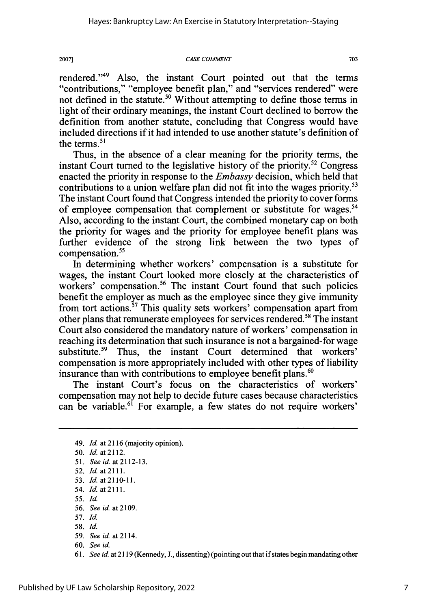*CASE* COMMENT

20071

rendered."49 Also, the instant Court pointed out that the terms "contributions," "employee benefit plan," and "services rendered" were not defined in the statute.<sup>50</sup> Without attempting to define those terms in light of their ordinary meanings, the instant Court declined to borrow the definition from another statute, concluding that Congress would have included directions if it had intended to use another statute's definition of the terms. $51$ 

Thus, in the absence of a clear meaning for the priority terms, the instant Court turned to the legislative history of the priority.<sup>52</sup> Congress enacted the priority in response to the *Embassy* decision, which held that contributions to a union welfare plan did not fit into the wages priority.<sup>53</sup> The instant Court found that Congress intended the priority to cover forms of employee compensation that complement or substitute for wages.<sup>54</sup> Also, according to the instant Court, the combined monetary cap on both the priority for wages and the priority for employee benefit plans was further evidence of the strong link between the two types of compensation.<sup>55</sup>

In determining whether workers' compensation is a substitute for wages, the instant Court looked more closely at the characteristics of workers' compensation.<sup>56</sup> The instant Court found that such policies benefit the employer as much as the employee since they give immunity from tort actions.<sup>57</sup> This quality sets workers' compensation apart from other plans that remunerate employees for services rendered. 58 The instant Court also considered the mandatory nature of workers' compensation in reaching its determination that such insurance is not a bargained-for wage substitute.<sup>59</sup> Thus, the instant Court determined that workers' compensation is more appropriately included with other types of liability insurance than with contributions to employee benefit plans.<sup>60</sup>

The instant Court's focus on the characteristics of workers' compensation may not help to decide future cases because characteristics can be variable.<sup>61</sup> For example, a few states do not require workers'

<sup>49.</sup> *Id.* at 2116 (majority opinion). 50. *Id.* at2112. *51. Seeid.* at2112-13. 52. *Id.* at 2111. 53. *Id.* at2110-11. 54. *Id.* at2111. 55. *Id.* 56. *Seeid.* at2109. 57. Id. 58. *Id.* 59. *Seeid.* at2114. 60. *See id.*

<sup>61.</sup> *See id.* at 2119 (Kennedy, J., dissenting) (pointing out that if states begin mandating other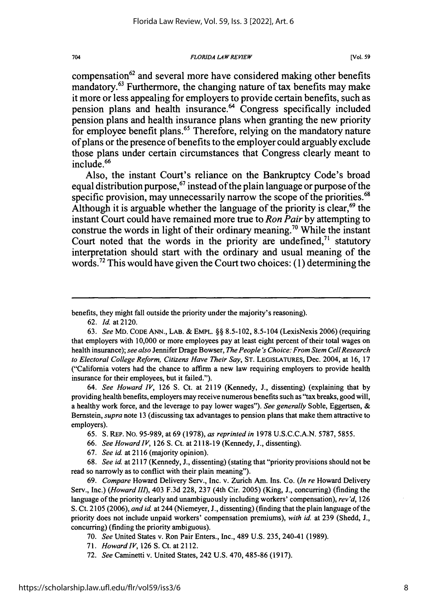*FLORIDA LAWREVIEW*

compensation<sup>62</sup> and several more have considered making other benefits mandatory.63 Furthermore, the changing nature of tax benefits may make it more or less appealing for employers to provide certain benefits, such as pension plans and health insurance.<sup>64</sup> Congress specifically included pension plans and health insurance plans when granting the new priority for employee benefit plans.<sup>65</sup> Therefore, relying on the mandatory nature of plans or the presence of benefits to the employer could arguably exclude those plans under certain circumstances that Congress clearly meant to include.<sup>66</sup>

Also, the instant Court's reliance on the Bankruptcy Code's broad equal distribution purpose," **instead of the** plain language or purpose of the specific provision, may unnecessarily narrow the scope of the priorities.<sup>68</sup> Although it is arguable whether the language of the priority is clear, $69$  the instant Court could have remained more true to *Ron Pair* **by** attempting to construe the words in light of their ordinary meaning.<sup>70</sup> While the instant Court noted that the words in the priority are undefined,<sup>71</sup> statutory interpretation should start with the ordinary and usual meaning of the words.72 This would have given the Court two choices: **(1)** determining the

benefits, they might fall outside the priority under the majority's reasoning).

62. *Id.* at 2120.

704

*64. See Howard IV,* 126 **S.** Ct. at 2119 (Kennedy, J., dissenting) (explaining that by providing health benefits, employers may receive numerous benefits such as "tax breaks, good will, a healthy work force, and the leverage to pay lower wages"). *See generally* Soble, Eggertsen, & Bernstein, *supra* note 13 (discussing tax advantages to pension plans that make them attractive to employers).

- 65. **S.** REP. No. 95-989, at 69 (1978), *as reprinted in* 1978 U.S.C.C.A.N. 5787, 5855.
- 66. *See Howard IV,* 126 S. Ct. at 2118-19 (Kennedy, J., dissenting).
- 67. *See id.* at 2116 (majority opinion).

68. *See id.* at 2117 (Kennedy, **J.,** dissenting) (stating that "priority provisions should not be read so narrowly as to conflict with their plain meaning").

69. *Compare* Howard Delivery Serv., Inc. v. Zurich Am. Ins. Co. *(In re* Howard Delivery Serv., Inc.) *(Howard I1),* 403 F.3d 228, 237 (4th Cir. 2005) (King, J., concurring) (finding the language of the priority clearly and unambiguously including workers' compensation), *rev'd,* 126 S. Ct. 2105 (2006), *and id.* at 244 (Niemeyer, J., dissenting) (finding that the plain language of the priority does not include unpaid workers' compensation premiums), *with id.* at 239 (Shedd, J., concurring) (finding the priority ambiguous).

70. *See* United States v. Ron Pair Enters., Inc., 489 U.S. 235, 240-41 (1989).

- 71. *HowardlV,* 126 **S.** Ct. at 2112.
- 72. *See* Caminetti v. United States, 242 U.S. 470, 485-86 (1917).

<sup>63.</sup> *See* MD. CODE ANN., LAB. & EMPL. §§ 8.5-102, 8.5-104 (LexisNexis 2006) (requiring that employers with 10,000 or more employees pay at least eight percent of their total wages on health insurance); *see also* Jennifer Drage Bowser, *The People's Choice: From Stem CellResearch to Electoral College Reform, Citizens Have Their Say,* ST. LEGISLATURES, Dec. 2004, at 16, 17 ("California voters had the chance to affirm a new law requiring employers to provide health insurance for their employees, but it failed.").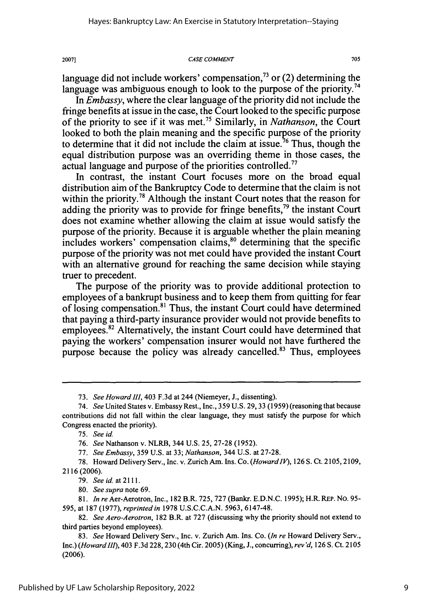#### **CASE COMMENT**

705

language did not include workers' compensation,<sup>73</sup> or (2) determining the language was ambiguous enough to look to the purpose of the priority.<sup>74</sup>

*In Embassy,* where the clear language of the priority did not include the fringe benefits at issue in the case, the Court looked to the specific purpose of the priority to see if it was met." Similarly, in *Nathanson,* the Court looked to both the plain meaning and the specific purpose of the priority to determine that it did not include the claim at issue.<sup>76</sup> Thus, though the equal distribution purpose was an overriding theme in those cases, the actual language and purpose of the priorities controlled.<sup>77</sup>

In contrast, the instant Court focuses more on the broad equal distribution aim of the Bankruptcy Code to determine that the claim is not within the priority.<sup>78</sup> Although the instant Court notes that the reason for adding the priority was to provide for fringe benefits,<sup>79</sup> the instant Court does not examine whether allowing the claim at issue would satisfy the purpose of the priority. Because it is arguable whether the plain meaning includes workers' compensation claims,<sup>80</sup> determining that the specific purpose of the priority was not met could have provided the instant Court with an alternative ground for reaching the same decision while staying truer to precedent.

The purpose of the priority was to provide additional protection to employees of a bankrupt business and to keep them from quitting for fear of losing compensation.8' Thus, the instant Court could have determined that paying a third-party insurance provider would not provide benefits to employees.82 Alternatively, the instant Court could have determined that paying the workers' compensation insurer would not have furthered the purpose because the policy was already cancelled.83 Thus, employees

20071

<sup>73.</sup> *See Howard 111,* 403 F.3d at 244 (Niemeyer, J., dissenting).

<sup>74.</sup> *See* United States v. Embassy Rest., Inc., 359 U.S. 29, 33 (1959) (reasoning that because contributions did not fall within the clear language, they must satisfy the purpose for which Congress enacted the priority).

*<sup>75.</sup> See id*

<sup>76.</sup> *See* Nathanson v. NLRB, 344 U.S. 25, 27-28 (1952).

<sup>77.</sup> *See Embassy,* 359 U.S. at 33; *Nathanson,* 344 U.S. at 27-28.

<sup>78.</sup> Howard Delivery Serv., Inc. v. Zurich Am. Ins. Co. *(HowardlP),* 126 **S.** Ct. 2105,2109, 2116 (2006).

<sup>79.</sup> *Seeid.* at2111.

<sup>80.</sup> *See supra* note 69.

*<sup>81.</sup> In re* Aer-Aerotron, Inc., 182 B.R. 725, 727 (Bankr. E.D.N.C. 1995); H.R. REP. No. **95-** 595, at 187 (1977), *reprinted in* 1978 U.S.C.C.A.N. 5963, 6147-48.

<sup>82.</sup> *See Aero-Aerotron,* 182 B.R. at 727 (discussing why the priority should not extend to third parties beyond employees).

<sup>83.</sup> *See* Howard Delivery Serv., Inc. v. Zurich Am. Ins. Co. *(In re* Howard Delivery Serv., Inc.) *(HowardIII),* 403 F.3d 228,230 (4th Cir. 2005) (King, J., concurring), *rev 'd,* 126 **S.** Ct. 2105 (2006).